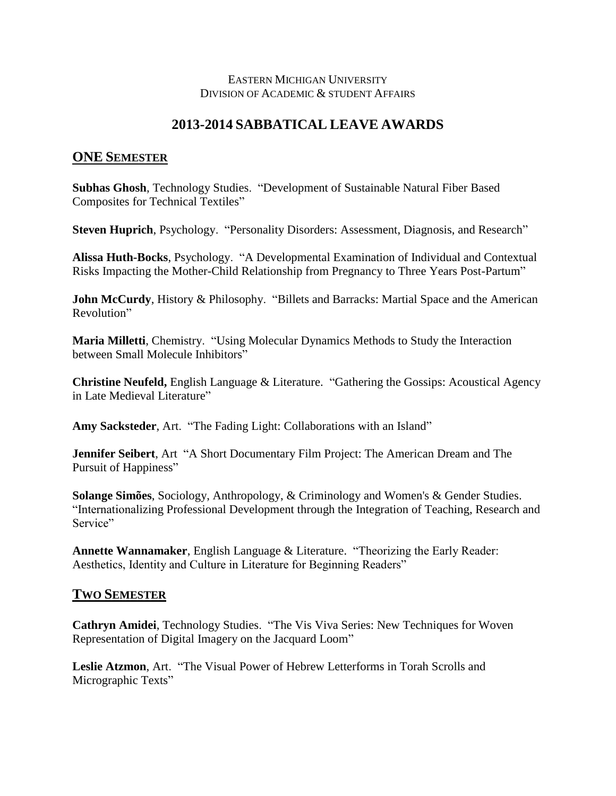## EASTERN MICHIGAN UNIVERSITY DIVISION OF ACADEMIC & STUDENT AFFAIRS

## **2013-2014 SABBATICAL LEAVE AWARDS**

## **ONE SEMESTER**

**Subhas Ghosh**, Technology Studies. "Development of Sustainable Natural Fiber Based Composites for Technical Textiles"

**Steven Huprich**, Psychology. "Personality Disorders: Assessment, Diagnosis, and Research"

**Alissa Huth-Bocks**, Psychology. "A Developmental Examination of Individual and Contextual Risks Impacting the Mother-Child Relationship from Pregnancy to Three Years Post-Partum"

**John McCurdy**, History & Philosophy. "Billets and Barracks: Martial Space and the American Revolution"

**Maria Milletti**, Chemistry. "Using Molecular Dynamics Methods to Study the Interaction between Small Molecule Inhibitors"

**Christine Neufeld,** English Language & Literature. "Gathering the Gossips: Acoustical Agency in Late Medieval Literature"

**Amy Sacksteder**, Art. "The Fading Light: Collaborations with an Island"

**Jennifer Seibert**, Art "A Short Documentary Film Project: The American Dream and The Pursuit of Happiness"

**Solange Simões**, Sociology, Anthropology, & Criminology and Women's & Gender Studies. "Internationalizing Professional Development through the Integration of Teaching, Research and Service"

**Annette Wannamaker**, English Language & Literature. "Theorizing the Early Reader: Aesthetics, Identity and Culture in Literature for Beginning Readers"

## **TWO SEMESTER**

**Cathryn Amidei**, Technology Studies. "The Vis Viva Series: New Techniques for Woven Representation of Digital Imagery on the Jacquard Loom"

**Leslie Atzmon**, Art. "The Visual Power of Hebrew Letterforms in Torah Scrolls and Micrographic Texts"